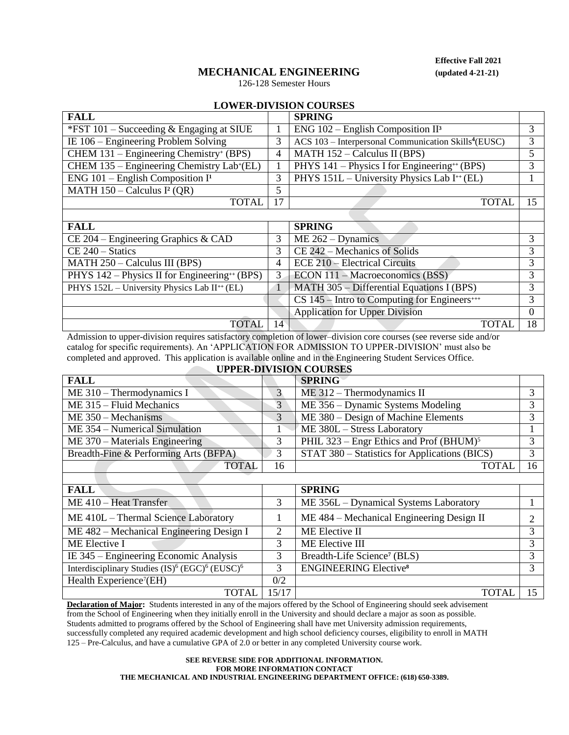# **MECHANICAL ENGINEERING (updated 4-21-21)**

**Effective Fall 2021**

CS 145 – Intro to Computing for Engineers**+++** 3 Application for Upper Division 0

## 126-128 Semester Hours

## **LOWER-DIVISION COURSES**

| <b>FALL</b>                                                 |    | <b>SPRING</b>                                                    |   |  |  |  |  |
|-------------------------------------------------------------|----|------------------------------------------------------------------|---|--|--|--|--|
| *FST 101 – Succeeding $&$ Engaging at SIUE                  |    | $ENG$ 102 – English Composition II <sup>3</sup>                  | 3 |  |  |  |  |
| IE $106$ – Engineering Problem Solving                      | 3  | ACS 103 - Interpersonal Communication Skills <sup>4</sup> (EUSC) | 3 |  |  |  |  |
| CHEM 131 – Engineering Chemistry <sup>+</sup> (BPS)         | 4  | MATH $152 -$ Calculus II (BPS)                                   |   |  |  |  |  |
| CHEM 135 – Engineering Chemistry Lab+(EL)                   |    | PHYS 141 – Physics I for Engineering <sup>++</sup> (BPS)         |   |  |  |  |  |
| ENG $101$ – English Composition I <sup>1</sup>              | 3  | PHYS 151L – University Physics Lab I <sup>++</sup> (EL)          |   |  |  |  |  |
| MATH $150 -$ Calculus I <sup>2</sup> (QR)                   | 5  |                                                                  |   |  |  |  |  |
| <b>TOTAL</b>                                                | 17 | <b>TOTAI</b>                                                     |   |  |  |  |  |
|                                                             |    |                                                                  |   |  |  |  |  |
| <b>FALL</b>                                                 |    | <b>SPRING</b>                                                    |   |  |  |  |  |
| $CE$ 204 – Engineering Graphics & CAD                       | 3  | $ME 262 - Dynamics$                                              | 3 |  |  |  |  |
| $CE 240 - Statistics$                                       | 3  | CE 242 – Mechanics of Solids                                     | 3 |  |  |  |  |
| $MATH 250 - Calculus III (BPS)$                             | 4  | ECE 210 – Electrical Circuits                                    | 3 |  |  |  |  |
| PHYS $142$ – Physics II for Engineering <sup>++</sup> (BPS) | 3  | $ECON$ 111 – Macroeconomics (BSS)                                | 3 |  |  |  |  |

PHYS 152L – University Physics Lab II<sup>++</sup> (EL) 1 MATH 305 – Differential Equations I (BPS) 3

TOTAL 14 TOTAL 18 Admission to upper-division requires satisfactory completion of lower–division core courses (see reverse side and/or catalog for specific requirements). An 'APPLICATION FOR ADMISSION TO UPPER-DIVISION' must also be completed and approved. This application is available online and in the Engineering Student Services Office.

| <b>UPPER-DIVISION COURSES</b>         |    |                                                       |                   |  |  |
|---------------------------------------|----|-------------------------------------------------------|-------------------|--|--|
| <b>FALL</b>                           |    | <b>SPRING</b>                                         |                   |  |  |
| $ME 310 - Thermodynamics I$           |    | $ME 312 - Thermodynamics II$                          | 2                 |  |  |
| ME 315 - Fluid Mechanics              | 3  | ME 356 – Dynamic Systems Modeling                     | $\mathbf{c}$      |  |  |
| $ME 350 - Mechanisms$                 | 3  | ME 380 – Design of Machine Elements                   | $\mathbf{z}$      |  |  |
| ME 354 – Numerical Simulation         |    | ME 380L - Stress Laboratory                           |                   |  |  |
| $ME 370 - Materials Engineering$      |    | PHIL $323$ – Engr Ethics and Prof (BHUM) <sup>5</sup> | $\mathbf{\Omega}$ |  |  |
| Breadth-Fine & Performing Arts (BFPA) |    | STAT 380 – Statistics for Applications (BICS)         | 3                 |  |  |
| <b>TOTAL</b>                          | 16 | <b>TOTAL</b>                                          | 16                |  |  |
|                                       |    |                                                       |                   |  |  |

| <b>FALL</b>                                                                        |                             | <b>SPRING</b>                             |   |
|------------------------------------------------------------------------------------|-----------------------------|-------------------------------------------|---|
| ME 410 - Heat Transfer                                                             |                             | ME 356L – Dynamical Systems Laboratory    |   |
| ME 410L – Thermal Science Laboratory                                               |                             | ME 484 – Mechanical Engineering Design II |   |
| ME 482 – Mechanical Engineering Design I                                           | $\mathcal{D}_{\mathcal{L}}$ | ME Elective II                            | 3 |
| ME Elective I                                                                      |                             | ME Elective III                           | 3 |
| IE 345 – Engineering Economic Analysis                                             |                             | Breadth-Life Science <sup>7</sup> (BLS)   |   |
| Interdisciplinary Studies (IS) <sup>6</sup> (EGC) <sup>6</sup> (EUSC) <sup>6</sup> |                             | <b>ENGINEERING Elective</b> <sup>8</sup>  | 3 |
| Health Experience <sup>7</sup> (EH)                                                | 0/2                         |                                           |   |
| TOTAI                                                                              | 15/17                       | TOTA.                                     |   |

**Declaration of Major:** Students interested in any of the majors offered by the School of Engineering should seek advisement from the School of Engineering when they initially enroll in the University and should declare a major as soon as possible. Students admitted to programs offered by the School of Engineering shall have met University admission requirements, successfully completed any required academic development and high school deficiency courses, eligibility to enroll in MATH 125 – Pre-Calculus, and have a cumulative GPA of 2.0 or better in any completed University course work.

### **SEE REVERSE SIDE FOR ADDITIONAL INFORMATION. FOR MORE INFORMATION CONTACT THE MECHANICAL AND INDUSTRIAL ENGINEERING DEPARTMENT OFFICE: (618) 650-3389.**